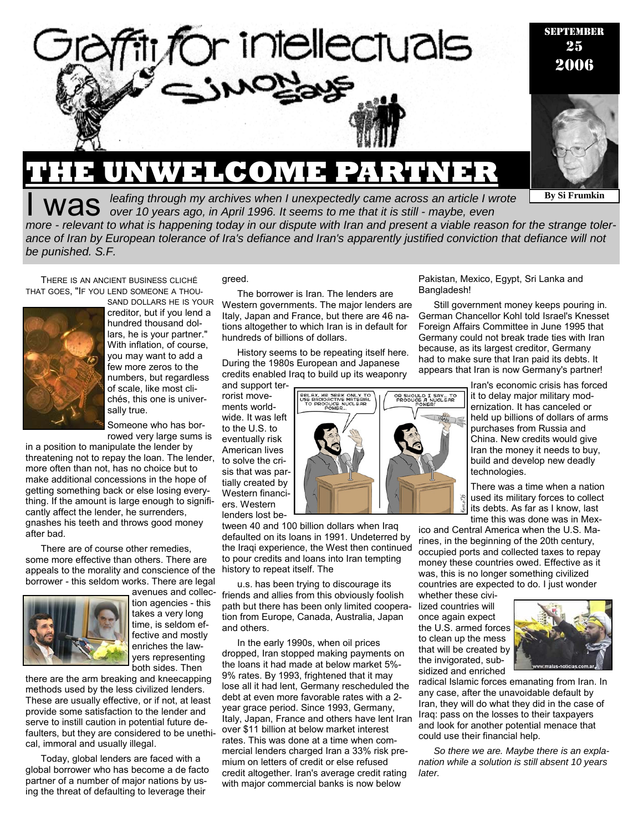

# **Was** *leafing through my archives when I unexpectedly came across an article I wrote over 10 years ago, in April 1996. It seems to me that it is still - maybe, even*

*more - relevant to what is happening today in our dispute with Iran and present a viable reason for the strange tolerance of Iran by European tolerance of Ira's defiance and Iran's apparently justified conviction that defiance will not be punished. S.F.* 

THERE IS AN ANCIENT BUSINESS CLICHÉ THAT GOES, "IF YOU LEND SOMEONE A THOU-



creditor, but if you lend a hundred thousand dollars, he is your partner." With inflation, of course, you may want to add a few more zeros to the numbers, but regardless of scale, like most clichés, this one is universally true.

SAND DOLLARS HE IS YOUR

Someone who has borrowed very large sums is

in a position to manipulate the lender by threatening not to repay the loan. The lender, more often than not, has no choice but to make additional concessions in the hope of getting something back or else losing everything. If the amount is large enough to significantly affect the lender, he surrenders, gnashes his teeth and throws good money after bad.

There are of course other remedies, some more effective than others. There are appeals to the morality and conscience of the borrower - this seldom works. There are legal



avenues and collection agencies - this takes a very long time, is seldom effective and mostly enriches the lawyers representing both sides. Then

there are the arm breaking and kneecapping methods used by the less civilized lenders. These are usually effective, or if not, at least provide some satisfaction to the lender and serve to instill caution in potential future defaulters, but they are considered to be unethical, immoral and usually illegal.

Today, global lenders are faced with a global borrower who has become a de facto partner of a number of major nations by using the threat of defaulting to leverage their

greed.

The borrower is Iran. The lenders are Western governments. The major lenders are Italy, Japan and France, but there are 46 nations altogether to which Iran is in default for hundreds of billions of dollars.

History seems to be repeating itself here. During the 1980s European and Japanese credits enabled Iraq to build up its weaponry

and support terrorist movements worldwide. It was left to the U.S. to eventually risk American lives to solve the crisis that was partially created by Western financiers. Western lenders lost be-

tween 40 and 100 billion dollars when Iraq defaulted on its loans in 1991. Undeterred by the Iraqi experience, the West then continued to pour credits and loans into Iran tempting history to repeat itself. The

u.s. has been trying to discourage its friends and allies from this obviously foolish path but there has been only limited cooperation from Europe, Canada, Australia, Japan and others.

In the early 1990s, when oil prices dropped, Iran stopped making payments on the loans it had made at below market 5%- 9% rates. By 1993, frightened that it may lose all it had lent, Germany rescheduled the debt at even more favorable rates with a 2 year grace period. Since 1993, Germany, Italy, Japan, France and others have lent Iran over \$11 billion at below market interest rates. This was done at a time when commercial lenders charged Iran a 33% risk premium on letters of credit or else refused credit altogether. Iran's average credit rating with major commercial banks is now below

Pakistan, Mexico, Egypt, Sri Lanka and Bangladesh!

Still government money keeps pouring in. German Chancellor Kohl told Israel's Knesset Foreign Affairs Committee in June 1995 that Germany could not break trade ties with Iran because, as its largest creditor, Germany had to make sure that Iran paid its debts. It appears that Iran is now Germany's partner!

> Iran's economic crisis has forced it to delay major military modernization. It has canceled or held up billions of dollars of arms purchases from Russia and China. New credits would give Iran the money it needs to buy, build and develop new deadly technologies.

**By Si Frumkin** 

There was a time when a nation used its military forces to collect its debts. As far as I know, last time this was done was in Mex-

ico and Central America when the U.S. Marines, in the beginning of the 20th century, occupied ports and collected taxes to repay money these countries owed. Effective as it was, this is no longer something civilized countries are expected to do. I just wonder

whether these civilized countries will once again expect the U.S. armed forces to clean up the mess that will be created by the invigorated, subsidized and enriched



radical Islamic forces emanating from Iran. In any case, after the unavoidable default by Iran, they will do what they did in the case of Iraq: pass on the losses to their taxpayers and look for another potential menace that could use their financial help.

*So there we are. Maybe there is an explanation while a solution is still absent 10 years later.* 

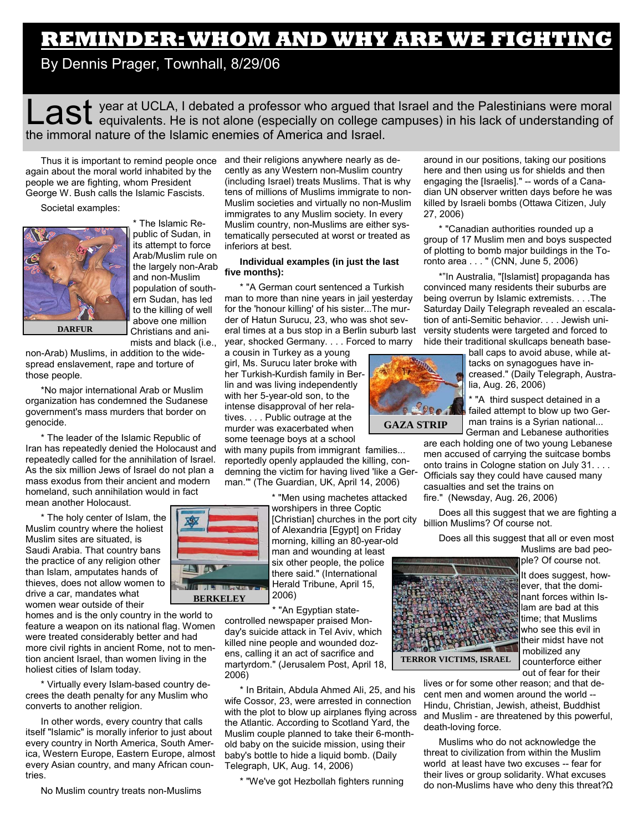## **REMINDER: WHOM AND WHY ARE WE FIGHTING**

By Dennis Prager, Townhall, 8/29/06

Last year at UCLA, I debated a professor who argued that Israel and the Palestinians were moral equivalents. He is not alone (especially on college campuses) in his lack of understanding of the immoral nature of the Islamic enemies of America and Israel.

Thus it is important to remind people once and their religions anywhere nearly as deagain about the moral world inhabited by the people we are fighting, whom President George W. Bush calls the Islamic Fascists.

Societal examples:



\* The Islamic Republic of Sudan, in its attempt to force Arab/Muslim rule on the largely non-Arab and non-Muslim population of southern Sudan, has led to the killing of well above one million Christians and animists and black (i.e.,

non-Arab) Muslims, in addition to the widespread enslavement, rape and torture of

those people. \*No major international Arab or Muslim organization has condemned the Sudanese government's mass murders that border on genocide.

\* The leader of the Islamic Republic of Iran has repeatedly denied the Holocaust and repeatedly called for the annihilation of Israel. As the six million Jews of Israel do not plan a mass exodus from their ancient and modern homeland, such annihilation would in fact mean another Holocaust.

\* The holy center of Islam, the Muslim country where the holiest Muslim sites are situated, is Saudi Arabia. That country bans the practice of any religion other than Islam, amputates hands of thieves, does not allow women to drive a car, mandates what women wear outside of their

homes and is the only country in the world to feature a weapon on its national flag. Women were treated considerably better and had more civil rights in ancient Rome, not to mention ancient Israel, than women living in the holiest cities of Islam today.

\* Virtually every Islam-based country decrees the death penalty for any Muslim who converts to another religion.

In other words, every country that calls itself "Islamic" is morally inferior to just about every country in North America, South America, Western Europe, Eastern Europe, almost every Asian country, and many African countries.

No Muslim country treats non-Muslims

cently as any Western non-Muslim country (including Israel) treats Muslims. That is why tens of millions of Muslims immigrate to non-Muslim societies and virtually no non-Muslim immigrates to any Muslim society. In every Muslim country, non-Muslims are either systematically persecuted at worst or treated as inferiors at best.

#### **Individual examples (in just the last five months):**

\* "A German court sentenced a Turkish man to more than nine years in jail yesterday for the 'honour killing' of his sister...The murder of Hatun Surucu, 23, who was shot several times at a bus stop in a Berlin suburb last year, shocked Germany. . . . Forced to marry

a cousin in Turkey as a young girl, Ms. Surucu later broke with her Turkish-Kurdish family in Berlin and was living independently with her 5-year-old son, to the intense disapproval of her relatives. . . . Public outrage at the murder was exacerbated when some teenage boys at a school

with many pupils from immigrant families... reportedly openly applauded the killing, condemning the victim for having lived 'like a German.'" (The Guardian, UK, April 14, 2006)

\* "Men using machetes attacked

worshipers in three Coptic [Christian] churches in the port city of Alexandria [Egypt] on Friday morning, killing an 80-year-old man and wounding at least six other people, the police there said." (International Herald Tribune, April 15, 2006)

\* "An Egyptian statecontrolled newspaper praised Monday's suicide attack in Tel Aviv, which killed nine people and wounded dozens, calling it an act of sacrifice and martyrdom." (Jerusalem Post, April 18, 2006)

\* In Britain, Abdula Ahmed Ali, 25, and his wife Cossor, 23, were arrested in connection with the plot to blow up airplanes flying across the Atlantic. According to Scotland Yard, the Muslim couple planned to take their 6-monthold baby on the suicide mission, using their baby's bottle to hide a liquid bomb. (Daily Telegraph, UK, Aug. 14, 2006)

\* "We've got Hezbollah fighters running

around in our positions, taking our positions here and then using us for shields and then engaging the [Israelis]." -- words of a Canadian UN observer written days before he was killed by Israeli bombs (Ottawa Citizen, July 27, 2006)

\* "Canadian authorities rounded up a group of 17 Muslim men and boys suspected of plotting to bomb major buildings in the Toronto area . . . " (CNN, June 5, 2006)

\*"In Australia, "[Islamist] propaganda has convinced many residents their suburbs are being overrun by Islamic extremists. . . .The Saturday Daily Telegraph revealed an escalation of anti-Semitic behavior. . . . Jewish university students were targeted and forced to hide their traditional skullcaps beneath base-



ball caps to avoid abuse, while attacks on synagogues have increased." (Daily Telegraph, Australia, Aug. 26, 2006)

\* "A third suspect detained in a failed attempt to blow up two German trains is a Syrian national... German and Lebanese authorities

are each holding one of two young Lebanese men accused of carrying the suitcase bombs onto trains in Cologne station on July 31. . . . Officials say they could have caused many casualties and set the trains on fire." (Newsday, Aug. 26, 2006)

Does all this suggest that we are fighting a billion Muslims? Of course not.

Does all this suggest that all or even most Muslims are bad people? Of course not.



It does suggest, however, that the dominant forces within Islam are bad at this time; that Muslims who see this evil in their midst have not mobilized any counterforce either out of fear for their

lives or for some other reason; and that decent men and women around the world -- Hindu, Christian, Jewish, atheist, Buddhist and Muslim - are threatened by this powerful, death-loving force.

Muslims who do not acknowledge the threat to civilization from within the Muslim world at least have two excuses -- fear for their lives or group solidarity. What excuses do non-Muslims have who deny this threat?Ω

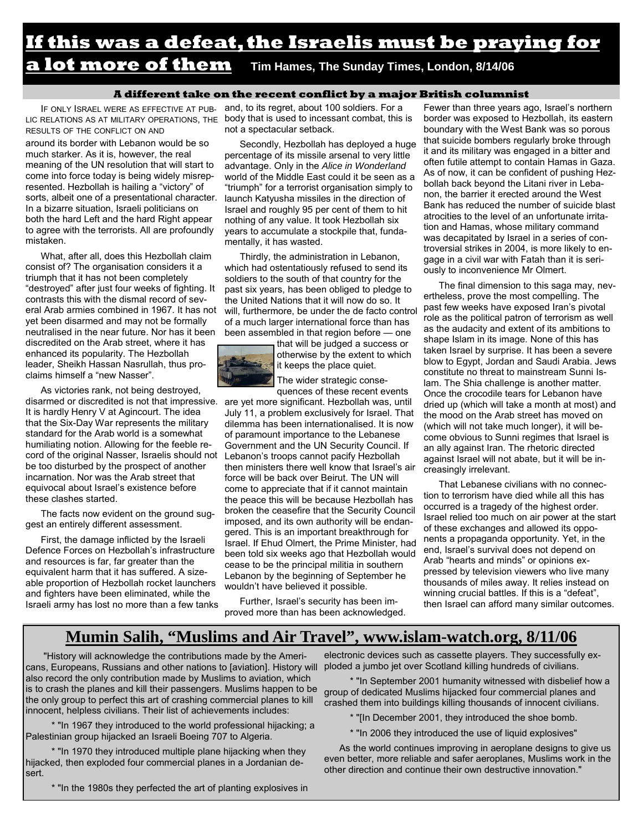### **If this was a defeat, the Israelis must be praying for a lot more of them** Tim Hames, The Sunday Times, London, 8/14/06

#### **A different take on the recent conflict by a major British columnist**

LIC RELATIONS AS AT MILITARY OPERATIONS, THE body that is used to incessant combat, this is RESULTS OF THE CONFLICT ON AND around its border with Lebanon would be so much starker. As it is, however, the real meaning of the UN resolution that will start to come into force today is being widely misrepresented. Hezbollah is hailing a "victory" of sorts, albeit one of a presentational character. In a bizarre situation, Israeli politicians on both the hard Left and the hard Right appear to agree with the terrorists. All are profoundly mistaken.

What, after all, does this Hezbollah claim consist of? The organisation considers it a triumph that it has not been completely "destroyed" after just four weeks of fighting. It contrasts this with the dismal record of several Arab armies combined in 1967. It has not yet been disarmed and may not be formally neutralised in the near future. Nor has it been discredited on the Arab street, where it has enhanced its popularity. The Hezbollah leader, Sheikh Hassan Nasrullah, thus proclaims himself a "new Nasser".

As victories rank, not being destroyed, disarmed or discredited is not that impressive. are yet more significant. Hezbollah was, until It is hardly Henry V at Agincourt. The idea that the Six-Day War represents the military standard for the Arab world is a somewhat humiliating notion. Allowing for the feeble record of the original Nasser, Israelis should not Lebanon's troops cannot pacify Hezbollah be too disturbed by the prospect of another incarnation. Nor was the Arab street that equivocal about Israel's existence before these clashes started.

The facts now evident on the ground suggest an entirely different assessment.

First, the damage inflicted by the Israeli Defence Forces on Hezbollah's infrastructure and resources is far, far greater than the equivalent harm that it has suffered. A sizeable proportion of Hezbollah rocket launchers and fighters have been eliminated, while the Israeli army has lost no more than a few tanks

IF ONLY ISRAEL WERE AS EFFECTIVE AT PUB- and, to its regret, about 100 soldiers. For a not a spectacular setback.

> Secondly, Hezbollah has deployed a huge percentage of its missile arsenal to very little advantage. Only in the *Alice in Wonderland*  world of the Middle East could it be seen as a "triumph" for a terrorist organisation simply to launch Katyusha missiles in the direction of Israel and roughly 95 per cent of them to hit nothing of any value. It took Hezbollah six years to accumulate a stockpile that, fundamentally, it has wasted.

> Thirdly, the administration in Lebanon, which had ostentatiously refused to send its soldiers to the south of that country for the past six years, has been obliged to pledge to the United Nations that it will now do so. It will, furthermore, be under the de facto control of a much larger international force than has been assembled in that region before — one

> > that will be judged a success or otherwise by the extent to which it keeps the place quiet.

The wider strategic consequences of these recent events

July 11, a problem exclusively for Israel. That dilemma has been internationalised. It is now of paramount importance to the Lebanese Government and the UN Security Council. If then ministers there well know that Israel's air force will be back over Beirut. The UN will come to appreciate that if it cannot maintain the peace this will be because Hezbollah has broken the ceasefire that the Security Council imposed, and its own authority will be endangered. This is an important breakthrough for Israel. If Ehud Olmert, the Prime Minister, had been told six weeks ago that Hezbollah would cease to be the principal militia in southern Lebanon by the beginning of September he wouldn't have believed it possible.

Further, Israel's security has been improved more than has been acknowledged.

Fewer than three years ago, Israel's northern border was exposed to Hezbollah, its eastern boundary with the West Bank was so porous that suicide bombers regularly broke through it and its military was engaged in a bitter and often futile attempt to contain Hamas in Gaza. As of now, it can be confident of pushing Hezbollah back beyond the Litani river in Lebanon, the barrier it erected around the West Bank has reduced the number of suicide blast atrocities to the level of an unfortunate irritation and Hamas, whose military command was decapitated by Israel in a series of controversial strikes in 2004, is more likely to engage in a civil war with Fatah than it is seriously to inconvenience Mr Olmert.

The final dimension to this saga may, nevertheless, prove the most compelling. The past few weeks have exposed Iran's pivotal role as the political patron of terrorism as well as the audacity and extent of its ambitions to shape Islam in its image. None of this has taken Israel by surprise. It has been a severe blow to Egypt, Jordan and Saudi Arabia. Jews constitute no threat to mainstream Sunni Islam. The Shia challenge is another matter. Once the crocodile tears for Lebanon have dried up (which will take a month at most) and the mood on the Arab street has moved on (which will not take much longer), it will become obvious to Sunni regimes that Israel is an ally against Iran. The rhetoric directed against Israel will not abate, but it will be increasingly irrelevant.

That Lebanese civilians with no connection to terrorism have died while all this has occurred is a tragedy of the highest order. Israel relied too much on air power at the start of these exchanges and allowed its opponents a propaganda opportunity. Yet, in the end, Israel's survival does not depend on Arab "hearts and minds" or opinions expressed by television viewers who live many thousands of miles away. It relies instead on winning crucial battles. If this is a "defeat", then Israel can afford many similar outcomes.

### **Mumin Salih, "Muslims and Air Travel", www.islam-watch.org, 8/11/06**

"History will acknowledge the contributions made by the Americans, Europeans, Russians and other nations to [aviation]. History will also record the only contribution made by Muslims to aviation, which is to crash the planes and kill their passengers. Muslims happen to be the only group to perfect this art of crashing commercial planes to kill innocent, helpless civilians. Their list of achievements includes:

 \* "In 1967 they introduced to the world professional hijacking; a Palestinian group hijacked an Israeli Boeing 707 to Algeria.

 \* "In 1970 they introduced multiple plane hijacking when they hijacked, then exploded four commercial planes in a Jordanian desert.

\* "In the 1980s they perfected the art of planting explosives in

electronic devices such as cassette players. They successfully exploded a jumbo jet over Scotland killing hundreds of civilians.

 \* "In September 2001 humanity witnessed with disbelief how a group of dedicated Muslims hijacked four commercial planes and crashed them into buildings killing thousands of innocent civilians.

\* "[In December 2001, they introduced the shoe bomb.

\* "In 2006 they introduced the use of liquid explosives"

As the world continues improving in aeroplane designs to give us even better, more reliable and safer aeroplanes, Muslims work in the other direction and continue their own destructive innovation."